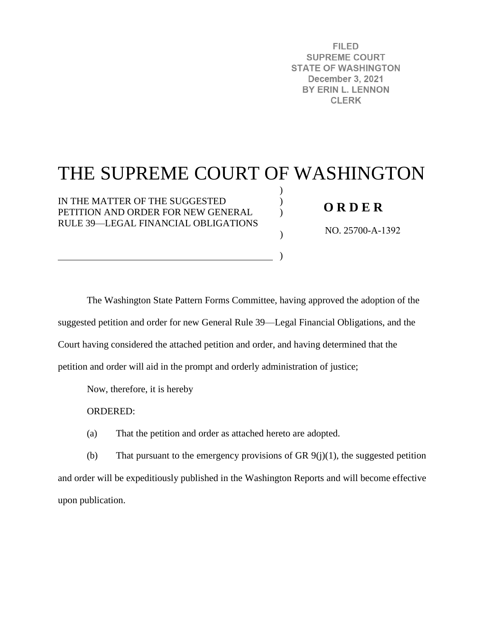**FILED SUPREME COURT STATE OF WASHINGTON December 3, 2021** BY ERIN L. LENNON **CLERK** 

# THE SUPREME COURT OF WASHINGTON

 $\lambda$ )  $\lambda$ 

)

)

IN THE MATTER OF THE SUGGESTED PETITION AND ORDER FOR NEW GENERAL RULE 39—LEGAL FINANCIAL OBLIGATIONS

### **O R D E R**

NO. 25700-A-1392

The Washington State Pattern Forms Committee, having approved the adoption of the suggested petition and order for new General Rule 39—Legal Financial Obligations, and the Court having considered the attached petition and order, and having determined that the petition and order will aid in the prompt and orderly administration of justice;

Now, therefore, it is hereby

ORDERED:

(a) That the petition and order as attached hereto are adopted.

(b) That pursuant to the emergency provisions of GR  $9(j)(1)$ , the suggested petition and order will be expeditiously published in the Washington Reports and will become effective upon publication.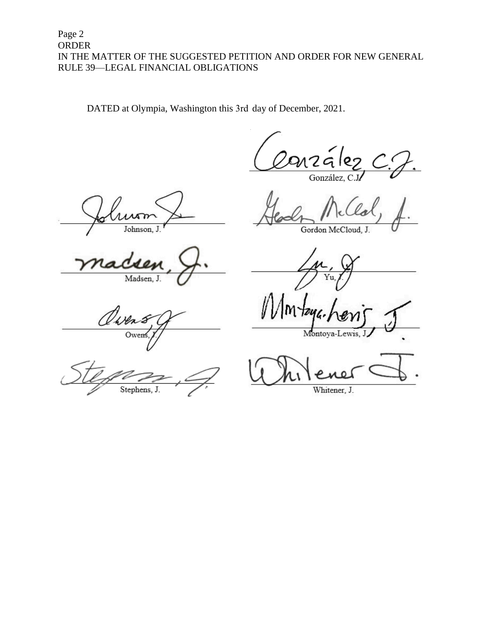#### Page 2 ORDER IN THE MATTER OF THE SUGGESTED PETITION AND ORDER FOR NEW GENERAL RULE 39—LEGAL FINANCIAL OBLIGATIONS

DATED at Olympia, Washington this 3rd day of December, 2021.

arzález

Johnson, J

Madsen, J.

Gordon McCloud, J.

Yu.

Own Owen

Stephens, J.

Montoya-Lewis, J

Whitener, J.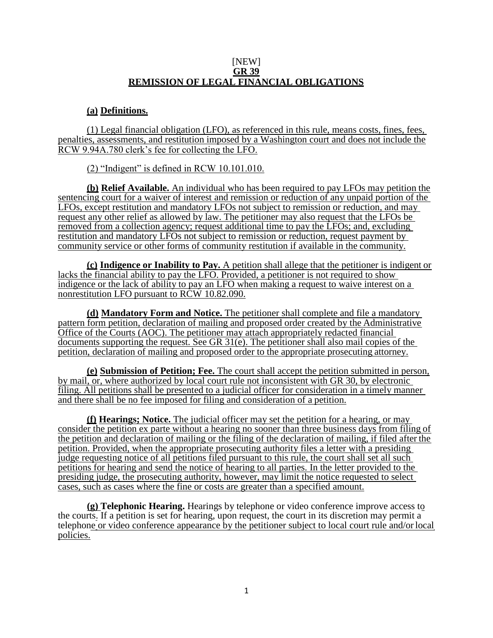#### [NEW] **GR 39 REMISSION OF LEGAL FINANCIAL OBLIGATIONS**

#### **(a) Definitions.**

(1) Legal financial obligation (LFO), as referenced in this rule, means costs, fines, fees, penalties, assessments, and restitution imposed by a Washington court and does not include the RCW 9.94A.780 clerk's fee for collecting the LFO.

(2) "Indigent" is defined in RCW 10.101.010.

**(b) Relief Available.** An individual who has been required to pay LFOs may petition the sentencing court for a waiver of interest and remission or reduction of any unpaid portion of the LFOs, except restitution and mandatory LFOs not subject to remission or reduction, and may request any other relief as allowed by law. The petitioner may also request that the LFOs be removed from a collection agency; request additional time to pay the LFOs; and, excluding restitution and mandatory LFOs not subject to remission or reduction, request payment by community service or other forms of community restitution if available in the community.

**(c) Indigence or Inability to Pay.** A petition shall allege that the petitioner is indigent or lacks the financial ability to pay the LFO. Provided, a petitioner is not required to show indigence or the lack of ability to pay an LFO when making a request to waive interest on a nonrestitution LFO pursuant to RCW 10.82.090.

**(d) Mandatory Form and Notice.** The petitioner shall complete and file a mandatory pattern form petition, declaration of mailing and proposed order created by the Administrative Office of the Courts (AOC). The petitioner may attach appropriately redacted financial documents supporting the request. See GR 31(e). The petitioner shall also mail copies of the petition, declaration of mailing and proposed order to the appropriate prosecuting attorney.

**(e) Submission of Petition; Fee.** The court shall accept the petition submitted in person, by mail, or, where authorized by local court rule not inconsistent with GR 30, by electronic filing. All petitions shall be presented to a judicial officer for consideration in a timely manner and there shall be no fee imposed for filing and consideration of a petition.

**(f) Hearings; Notice.** The judicial officer may set the petition for a hearing, or may consider the petition ex parte without a hearing no sooner than three business days from filing of the petition and declaration of mailing or the filing of the declaration of mailing, if filed after the petition. Provided, when the appropriate prosecuting authority files a letter with a presiding judge requesting notice of all petitions filed pursuant to this rule, the court shall set all such petitions for hearing and send the notice of hearing to all parties. In the letter provided to the presiding judge, the prosecuting authority, however, may limit the notice requested to select cases, such as cases where the fine or costs are greater than a specified amount.

**(g) Telephonic Hearing.** Hearings by telephone or video conference improve access to the courts. If a petition is set for hearing, upon request, the court in its discretion may permit a telephone or video conference appearance by the petitioner subject to local court rule and/orlocal policies.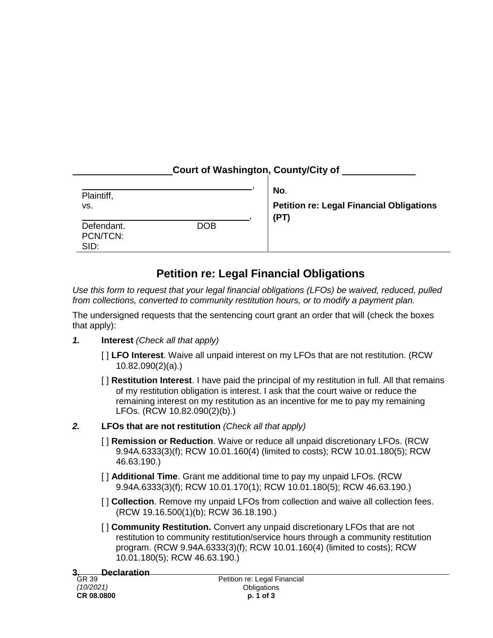|  | Court of Washington, County/City of |  |
|--|-------------------------------------|--|
|  |                                     |  |
|  |                                     |  |

| Plaintiff,<br>VS.              |            | No.<br><b>Petition re: Legal Financial Obligations</b><br>(PT) |
|--------------------------------|------------|----------------------------------------------------------------|
| Defendant.<br>PCN/TCN:<br>SID: | <b>DOB</b> |                                                                |

# **Petition re: Legal Financial Obligations**

*Use this form to request that your legal financial obligations (LFOs) be waived, reduced, pulled from collections, converted to community restitution hours, or to modify a payment plan.*

The undersigned requests that the sentencing court grant an order that will (check the boxes that apply):

- *1.* **Interest** *(Check all that apply)*
	- [ ] **LFO Interest**. Waive all unpaid interest on my LFOs that are not restitution. (RCW 10.82.090(2)(a).)
	- [ ] **Restitution Interest**. I have paid the principal of my restitution in full. All that remains of my restitution obligation is interest. I ask that the court waive or reduce the remaining interest on my restitution as an incentive for me to pay my remaining LFOs. (RCW 10.82.090(2)(b).)
- *2.* **LFOs that are not restitution** *(Check all that apply)*
	- [ ] **Remission or Reduction**. Waive or reduce all unpaid discretionary LFOs. (RCW 9.94A.6333(3)(f); RCW 10.01.160(4) (limited to costs); RCW 10.01.180(5); RCW 46.63.190.)
	- [ ] **Additional Time**. Grant me additional time to pay my unpaid LFOs. (RCW 9.94A.6333(3)(f); RCW 10.01.170(1); RCW 10.01.180(5); RCW 46.63.190.)
	- [ ] **Collection**. Remove my unpaid LFOs from collection and waive all collection fees. (RCW 19.16.500(1)(b); RCW 36.18.190.)
	- [ ] **Community Restitution.** Convert any unpaid discretionary LFOs that are not restitution to community restitution/service hours through a community restitution program. (RCW 9.94A.6333(3)(f); RCW 10.01.160(4) (limited to costs); RCW 10.01.180(5); RCW 46.63.190.)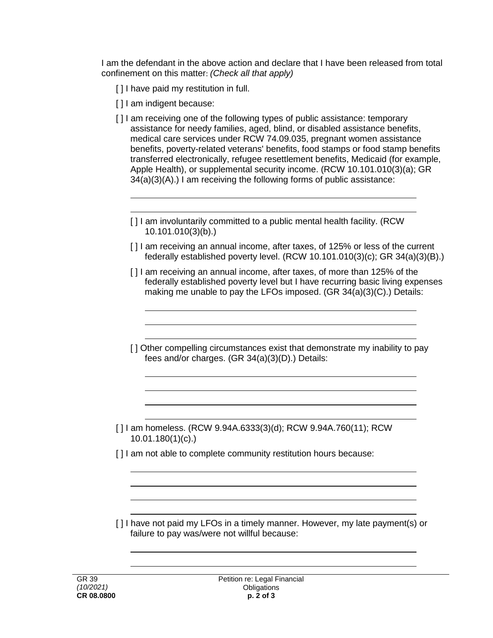I am the defendant in the above action and declare that I have been released from total confinement on this matter: *(Check all that apply)*

- [] I have paid my restitution in full.
- [ ] I am indigent because:
- [ ] I am receiving one of the following types of public assistance: temporary assistance for needy families, aged, blind, or disabled assistance benefits, medical care services under RCW 74.09.035, pregnant women assistance benefits, poverty-related veterans' benefits, food stamps or food stamp benefits transferred electronically, refugee resettlement benefits, Medicaid (for example, Apple Health), or supplemental security income. (RCW 10.101.010(3)(a); GR 34(a)(3)(A).) I am receiving the following forms of public assistance:
	- [] I am involuntarily committed to a public mental health facility. (RCW) 10.101.010(3)(b).)
	- [ ] I am receiving an annual income, after taxes, of 125% or less of the current federally established poverty level. (RCW 10.101.010(3)(c); GR 34(a)(3)(B).)
	- [] am receiving an annual income, after taxes, of more than 125% of the federally established poverty level but I have recurring basic living expenses making me unable to pay the LFOs imposed. (GR 34(a)(3)(C).) Details:
	- [] Other compelling circumstances exist that demonstrate my inability to pay fees and/or charges. (GR 34(a)(3)(D).) Details:
- [ ] I am homeless. (RCW 9.94A.6333(3)(d); RCW 9.94A.760(11); RCW 10.01.180(1)(c).)
- [1] am not able to complete community restitution hours because:
- [ ] I have not paid my LFOs in a timely manner. However, my late payment(s) or failure to pay was/were not willful because: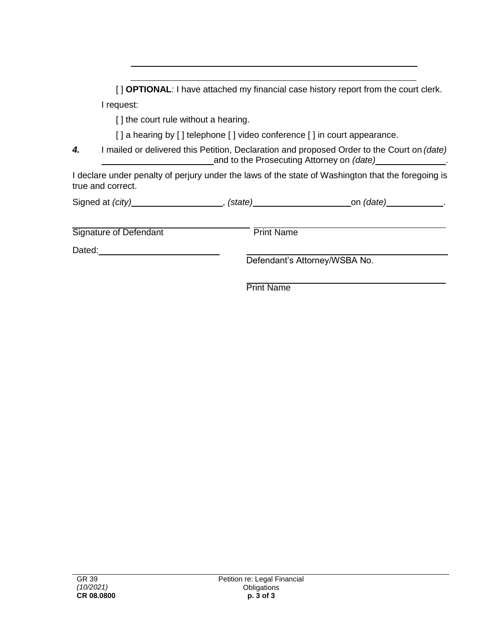[ ] **OPTIONAL**: I have attached my financial case history report from the court clerk. I request:

[] the court rule without a hearing.

[] a hearing by [] telephone [] video conference [] in court appearance.

*4.* I mailed or delivered this Petition, Declaration and proposed Order to the Court on *(date)* and to the Prosecuting Attorney on *(date)* .

I declare under penalty of perjury under the laws of the state of Washington that the foregoing is true and correct.

| Signed at (city)       | (state)           | on <i>(date)</i>              |
|------------------------|-------------------|-------------------------------|
| Signature of Defendant | <b>Print Name</b> |                               |
| Dated:                 |                   |                               |
|                        |                   | Defendant's Attorney/WSBA No. |

Print Name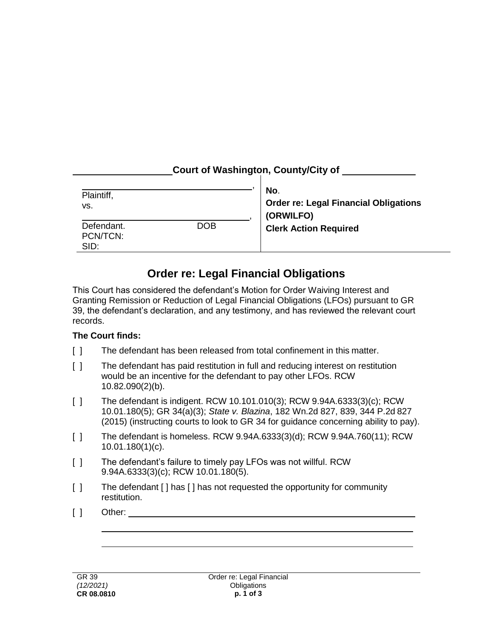## **Court of Washington, County/City of**

| Plaintiff,<br>VS.              |            | No.<br><b>Order re: Legal Financial Obligations</b><br>(ORWILFO) |  |
|--------------------------------|------------|------------------------------------------------------------------|--|
| Defendant.<br>PCN/TCN:<br>SID: | <b>DOB</b> | <b>Clerk Action Required</b>                                     |  |

# **Order re: Legal Financial Obligations**

This Court has considered the defendant's Motion for Order Waiving Interest and Granting Remission or Reduction of Legal Financial Obligations (LFOs) pursuant to GR 39, the defendant's declaration, and any testimony, and has reviewed the relevant court records.

#### **The Court finds:**

- [ ] The defendant has been released from total confinement in this matter.
- [ ] The defendant has paid restitution in full and reducing interest on restitution would be an incentive for the defendant to pay other LFOs. RCW 10.82.090(2)(b).
- [ ] The defendant is indigent. RCW 10.101.010(3); RCW 9.94A.6333(3)(c); RCW 10.01.180(5); GR 34(a)(3); *State v. Blazina*, 182 Wn.2d 827, 839, 344 P.2d 827 (2015) (instructing courts to look to GR 34 for guidance concerning ability to pay).
- [ ] The defendant is homeless. RCW 9.94A.6333(3)(d); RCW 9.94A.760(11); RCW 10.01.180(1)(c).
- [] The defendant's failure to timely pay LFOs was not willful. RCW 9.94A.6333(3)(c); RCW 10.01.180(5).
- [ ] The defendant [ ] has [ ] has not requested the opportunity for community restitution.
- [ ] Other: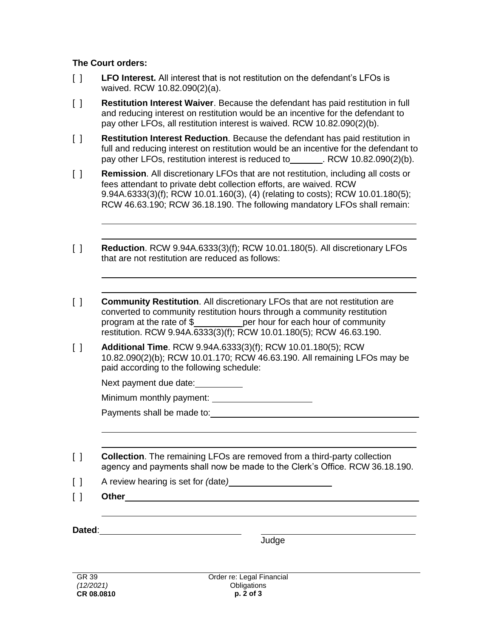### **The Court orders:**

- [ ] **LFO Interest.** All interest that is not restitution on the defendant's LFOs is waived. RCW 10.82.090(2)(a).
- [ ] **Restitution Interest Waiver**. Because the defendant has paid restitution in full and reducing interest on restitution would be an incentive for the defendant to pay other LFOs, all restitution interest is waived. RCW 10.82.090(2)(b).
- [ ] **Restitution Interest Reduction**. Because the defendant has paid restitution in full and reducing interest on restitution would be an incentive for the defendant to pay other LFOs, restitution interest is reduced to . RCW 10.82.090(2)(b).
- [ ] **Remission**. All discretionary LFOs that are not restitution, including all costs or fees attendant to private debt collection efforts, are waived. RCW 9.94A.6333(3)(f); RCW 10.01.160(3), (4) (relating to costs); RCW 10.01.180(5); RCW 46.63.190; RCW 36.18.190. The following mandatory LFOs shall remain:
- [ ] **Reduction**. RCW 9.94A.6333(3)(f); RCW 10.01.180(5). All discretionary LFOs that are not restitution are reduced as follows:
- [ ] **Community Restitution**. All discretionary LFOs that are not restitution are converted to community restitution hours through a community restitution program at the rate of \$ per hour for each hour of community restitution. RCW 9.94A.6333(3)(f); RCW 10.01.180(5); RCW 46.63.190.
- [ ] **Additional Time**. RCW 9.94A.6333(3)(f); RCW 10.01.180(5); RCW 10.82.090(2)(b); RCW 10.01.170; RCW 46.63.190. All remaining LFOs may be paid according to the following schedule:

Next payment due date:

Minimum monthly payment:

Payments shall be made to:

[ ] **Collection**. The remaining LFOs are removed from a third-party collection agency and payments shall now be made to the Clerk's Office. RCW 36.18.190.

- [ ] A review hearing is set for *(*date*)*
- [ ] **Other**

**Dated**:

**Judge**